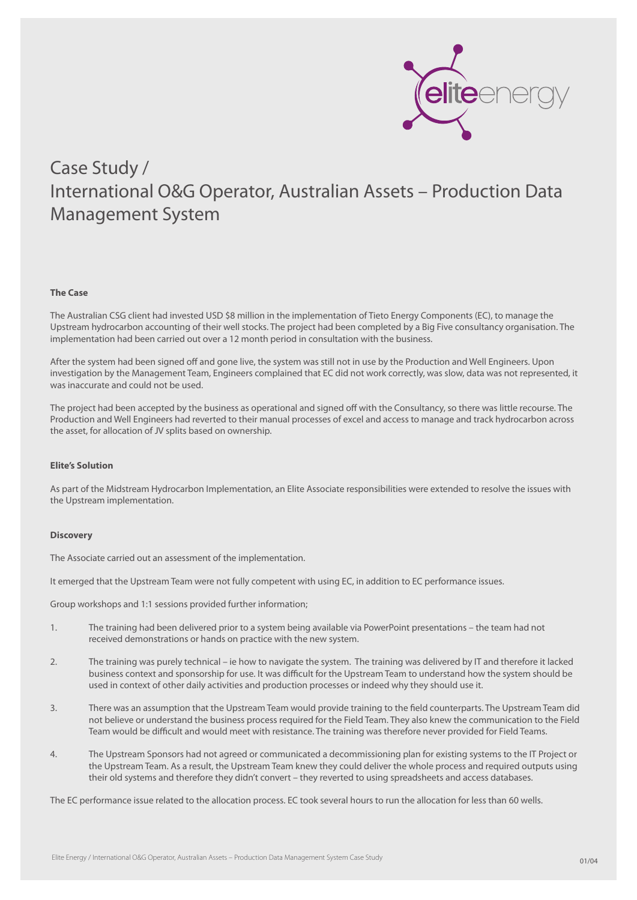

### **The Case**

The Australian CSG client had invested USD \$8 million in the implementation of Tieto Energy Components (EC), to manage the Upstream hydrocarbon accounting of their well stocks. The project had been completed by a Big Five consultancy organisation. The implementation had been carried out over a 12 month period in consultation with the business.

After the system had been signed off and gone live, the system was still not in use by the Production and Well Engineers. Upon investigation by the Management Team, Engineers complained that EC did not work correctly, was slow, data was not represented, it was inaccurate and could not be used.

The project had been accepted by the business as operational and signed off with the Consultancy, so there was little recourse. The Production and Well Engineers had reverted to their manual processes of excel and access to manage and track hydrocarbon across the asset, for allocation of JV splits based on ownership.

### **Elite's Solution**

As part of the Midstream Hydrocarbon Implementation, an Elite Associate responsibilities were extended to resolve the issues with the Upstream implementation.

### **Discovery**

The Associate carried out an assessment of the implementation.

It emerged that the Upstream Team were not fully competent with using EC, in addition to EC performance issues.

Group workshops and 1:1 sessions provided further information;

- 1. The training had been delivered prior to a system being available via PowerPoint presentations the team had not received demonstrations or hands on practice with the new system.
- 2. The training was purely technical ie how to navigate the system. The training was delivered by IT and therefore it lacked business context and sponsorship for use. It was difficult for the Upstream Team to understand how the system should be used in context of other daily activities and production processes or indeed why they should use it.
- 3. There was an assumption that the Upstream Team would provide training to the field counterparts. The Upstream Team did not believe or understand the business process required for the Field Team. They also knew the communication to the Field Team would be difficult and would meet with resistance. The training was therefore never provided for Field Teams.
- 4. The Upstream Sponsors had not agreed or communicated a decommissioning plan for existing systems to the IT Project or the Upstream Team. As a result, the Upstream Team knew they could deliver the whole process and required outputs using their old systems and therefore they didn't convert – they reverted to using spreadsheets and access databases.

The EC performance issue related to the allocation process. EC took several hours to run the allocation for less than 60 wells.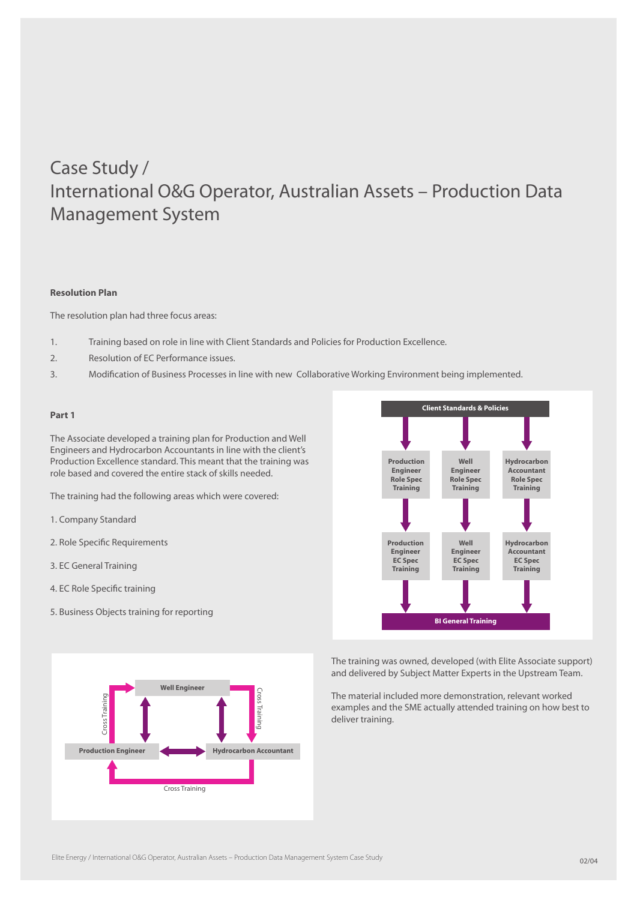## **Resolution Plan**

The resolution plan had three focus areas:

- 1. Training based on role in line with Client Standards and Policies for Production Excellence.
- 2. Resolution of EC Performance issues.
- 3. Modification of Business Processes in line with new Collaborative Working Environment being implemented.

#### **Part 1**

The Associate developed a training plan for Production and Well Engineers and Hydrocarbon Accountants in line with the client's Production Excellence standard. This meant that the training was role based and covered the entire stack of skills needed.

The training had the following areas which were covered:

- 1. Company Standard
- 2. Role Specific Requirements
- 3. EC General Training
- 4. EC Role Specific training
- 5. Business Objects training for reporting





The training was owned, developed (with Elite Associate support) and delivered by Subject Matter Experts in the Upstream Team.

The material included more demonstration, relevant worked examples and the SME actually attended training on how best to deliver training.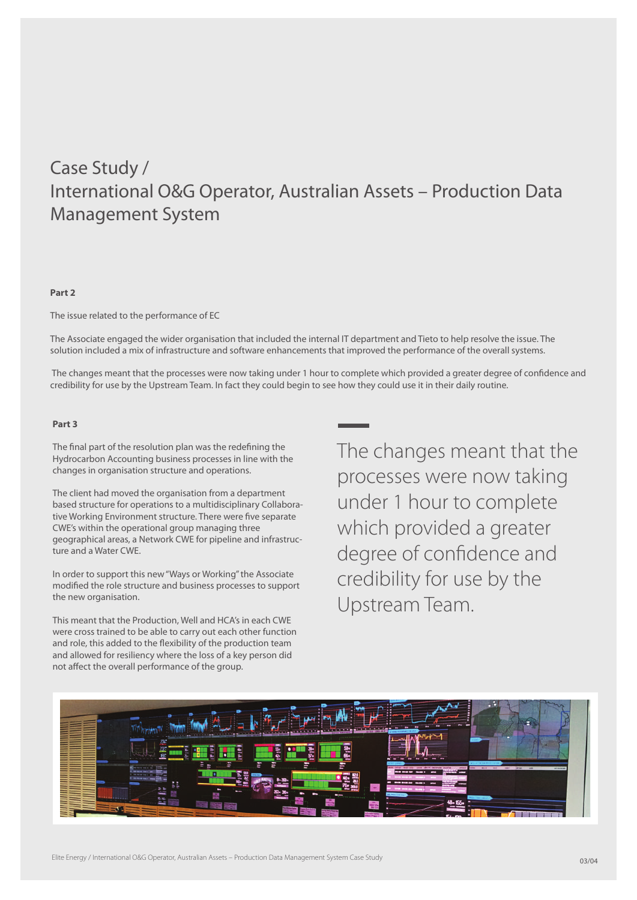# **Part 2**

The issue related to the performance of EC

The Associate engaged the wider organisation that included the internal IT department and Tieto to help resolve the issue. The solution included a mix of infrastructure and software enhancements that improved the performance of the overall systems.

 The changes meant that the processes were now taking under 1 hour to complete which provided a greater degree of confidence and credibility for use by the Upstream Team. In fact they could begin to see how they could use it in their daily routine.

# **Part 3**

The final part of the resolution plan was the redefining the Hydrocarbon Accounting business processes in line with the changes in organisation structure and operations.

The client had moved the organisation from a department based structure for operations to a multidisciplinary Collaborative Working Environment structure. There were five separate CWE's within the operational group managing three geographical areas, a Network CWE for pipeline and infrastructure and a Water CWE.

In order to support this new "Ways or Working" the Associate modified the role structure and business processes to support the new organisation.

This meant that the Production, Well and HCA's in each CWE were cross trained to be able to carry out each other function and role, this added to the flexibility of the production team and allowed for resiliency where the loss of a key person did not affect the overall performance of the group.

The changes meant that the processes were now taking under 1 hour to complete which provided a greater degree of confidence and credibility for use by the Upstream Team.